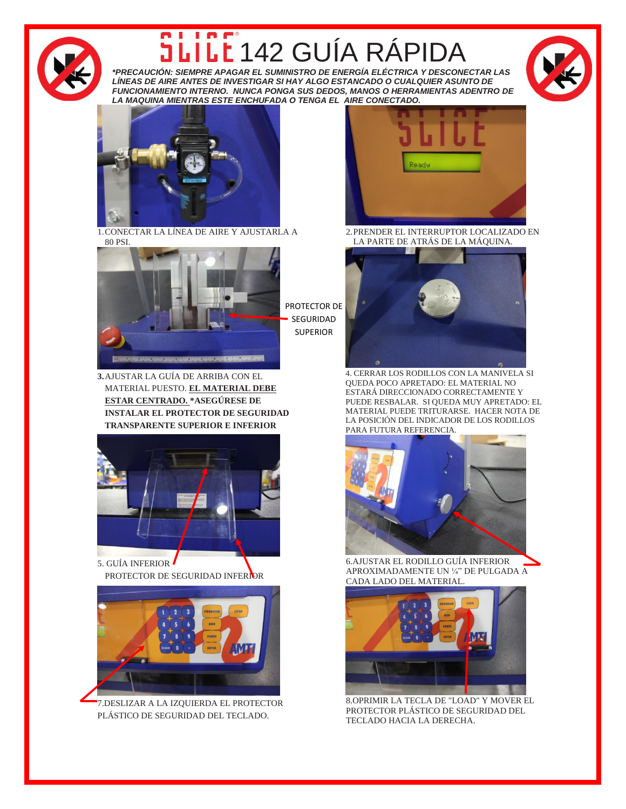

## In r® LL 142 GUÍA RÁPID

*\*PRECAUCIÓN: SIEMPRE APAGAR EL SUMINISTRO DE ENERGÍA ELÉCTRICA Y DESCONECTAR LAS LÍNEAS DE AIRE ANTES DE INVESTIGAR SI HAY ALGO ESTANCADO O CUALQUIER ASUNTO DE FUNCIONAMIENTO INTERNO. NUNCA PONGA SUS DEDOS, MANOS O HERRAMIENTAS ADENTRO DE LA MAQUINA MIENTRAS ESTE ENCHUFADA O TENGA EL AIRE CONECTADO.*





1.CONECTAR LA LÍNEA DE AIRE Y AJUSTARLA A 80 PSI.



PROTECTOR DE SEGURIDAD SUPERIOR

**3.**AJUSTAR LA GUÍA DE ARRIBA CON EL MATERIAL PUESTO. **EL MATERIAL DEBE ESTAR CENTRADO. \*ASEGÚRESE DE INSTALAR EL PROTECTOR DE SEGURIDAD TRANSPARENTE SUPERIOR E INFERIOR**



5. GUÍA INFERIOR PROTECTOR DE SEGURIDAD INFERIOR



7.DESLIZAR A LA IZQUIERDA EL PROTECTOR PLÁSTICO DE SEGURIDAD DEL TECLADO.



2.PRENDER EL INTERRUPTOR LOCALIZADO EN LA PARTE DE ATRÁS DE LA MÁQUINA.



4. CERRAR LOS RODILLOS CON LA MANIVELA SI QUEDA POCO APRETADO: EL MATERIAL NO ESTARÁ DIRECCIONADO CORRECTAMENTE Y PUEDE RESBALAR. SI QUEDA MUY APRETADO: EL MATERIAL PUEDE TRITURARSE. HACER NOTA DE LA POSICIÓN DEL INDICADOR DE LOS RODILLOS PARA FUTURA REFERENCIA.



6.AJUSTAR EL RODILLO GUÍA INFERIOR APROXIMADAMENTE UN ¼" DE PULGADA A CADA LADO DEL MATERIAL.



8.OPRIMIR LA TECLA DE "LOAD" Y MOVER EL PROTECTOR PLÁSTICO DE SEGURIDAD DEL TECLADO HACIA LA DERECHA.